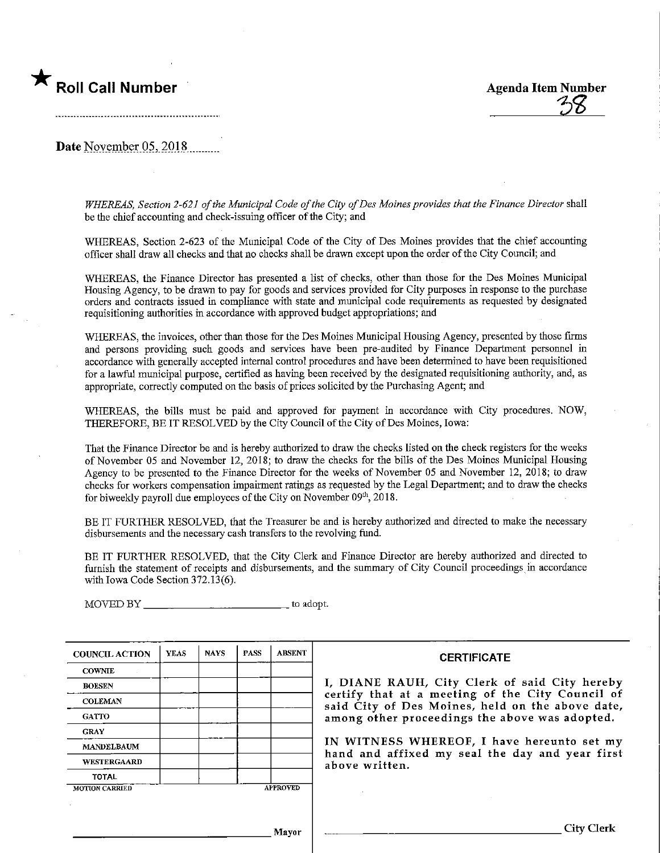# Roll Call Number 1988 and 1989 and 2008 Agenda Item Number

Date November  $05,2018$ <sub>.......</sub>...

WHEREAS, Section 2-621 of the Municipal Code of the City of Des Moines provides that the Finance Director shall be the chief accounting and check-issumg officer of the City; and

WHEREAS, Section 2-623 of the Municipal Code of the City of Des Moines provides that the chief accounting officer shall draw all checks and that no checks shall be drawn except upon the order of the City Council; and

WHEREAS, the Finance Director has presented a list of checks, other than those for the Des Momes Municipal Housing Agency, to be drawn to pay for goods and services provided for City purposes in response to the purchase orders and contracts issued in compliance with state and municipal code requirements as requested by designated requisitioning authorities in accordance with approved budget appropriations; and

WHEREAS, the invoices, other than those for the Des Moines Municipal Housing Agency, presented by those firms and persons providing such goods and services have been pre-audited by Finance Department personnel in accordance with generally accepted internal control procedures and have been determined to have been requisitioned for a lawful municipal purpose, certified as having been received by the designated requisitioning authority, and, as appropriate, correctly computed on the basis of prices solicited by the Purchasing Agent; and

WHEREAS, the bills must be paid and approved for payment in accordance with City procedures. NOW, THEREFORE, BE IT RESOLVED by the City Council of the City of Des Moines, Iowa:

That the Finance Director be and is hereby authorized to draw the checks listed on the check registers for the weeks of November 05 and November 12, 2018; to draw the checks for the bills of the Des Moines Municipal Housing Agency to be presented to the Finance Director for the weeks of November 05 and November 12, 2018; to draw checks for workers compensation impairment ratings as requested by the Legal Department; and to draw the checks for biweekly payroll due employees of the City on November 09th, 2018.

BE IT FURTHER RESOLVED, that the Treasurer be and is hereby authorized and directed to make the necessary disbursements and the necessary cash transfers to the revolving fund.

BE IT FURTHER RESOLVED, that the City Clerk and Finance Director are hereby authorized and directed to furnish the statement of receipts and disbursements, and the summary of City Council proceedings in accordance with Iowa Code Section 372.13(6).

MOVED BY THE RESERVE TO A LIMIT AND TO A LIMIT AND TO A LIMIT AND TO A LIMIT AND TO A LIMIT AND TO A LIMIT AT A LIMIT AND TO A LIMIT AND TO A LIMIT AND TO A LIMIT AND TO A LIMIT AND TO A LIMIT AND TO A LIMIT AND TO A LIMIT

| <b>COUNCIL ACTION</b> | <b>YEAS</b> | <b>NAYS</b> | <b>PASS</b> | <b>ABSENT</b>   | <b>CERTIFICATE</b>                                                                                   |
|-----------------------|-------------|-------------|-------------|-----------------|------------------------------------------------------------------------------------------------------|
| <b>COWNIE</b>         |             |             |             |                 |                                                                                                      |
| <b>BOESEN</b>         |             |             |             |                 | I, DIANE RAUH, City Clerk of said City hereby                                                        |
| <b>COLEMAN</b>        |             |             |             |                 | certify that at a meeting of the City Council of<br>said City of Des Moines, held on the above date, |
| <b>GATTO</b>          |             |             |             |                 | among other proceedings the above was adopted.                                                       |
| <b>GRAY</b>           |             |             |             |                 |                                                                                                      |
| <b>MANDELBAUM</b>     |             |             |             |                 | IN WITNESS WHEREOF, I have hereunto set my                                                           |
| <b>WESTERGAARD</b>    |             |             |             |                 | hand and affixed my seal the day and year first<br>above written.                                    |
| TOTAL                 |             |             |             |                 |                                                                                                      |
| <b>MOTION CARRIED</b> |             |             |             | <b>APPROVED</b> |                                                                                                      |
|                       |             |             |             |                 |                                                                                                      |
|                       |             |             |             | Mavor           | <b>City Clerk</b>                                                                                    |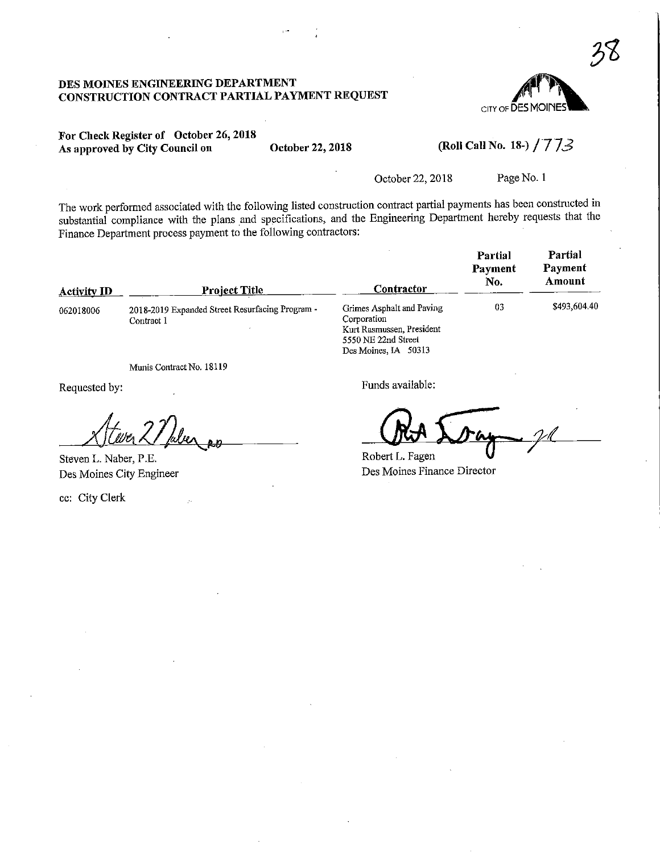#### DES MOINES ENGINEERING DEPARTMENT CONSTRUCTION CONTRACT PARTIAL PAYMENT REQUEST



### For Check Register of October 26,201S As approved by City Council on October 22, 2018

# (Roll Call No. 18-)  $/773$

October 22, 2018 Page No. 1

The work performed associated with the following listed construction contract partial payments has been constructed in substantial compliance with the plans and specifications, and the Engineering Department hereby requests that the Finance Department process payment to the following contractors:

| <b>Activity ID</b> | <b>Project Title</b>                                          | Contractor                                                                                                           | Partial<br>Payment<br>No. | Partial<br>Payment<br>Amount |
|--------------------|---------------------------------------------------------------|----------------------------------------------------------------------------------------------------------------------|---------------------------|------------------------------|
| 062018006          | 2018-2019 Expanded Street Resurfacing Program -<br>Contract 1 | Grimes Asphalt and Paving<br>Corporation<br>Kurt Rasmussen, President<br>5550 NE 22nd Street<br>Des Moines, IA 50313 | 03                        | \$493,604.40                 |

Munis Contract No. 18119

Requested by:

 $x/(\omega n^2/\omega n)$ 

Steven L. Naber, P.E. Des Moines City Engineer

ec: City Clerk

Funds available:

 $\overline{\mathcal{V}}$ 

Robert L. Fagen Des Moines Finance Director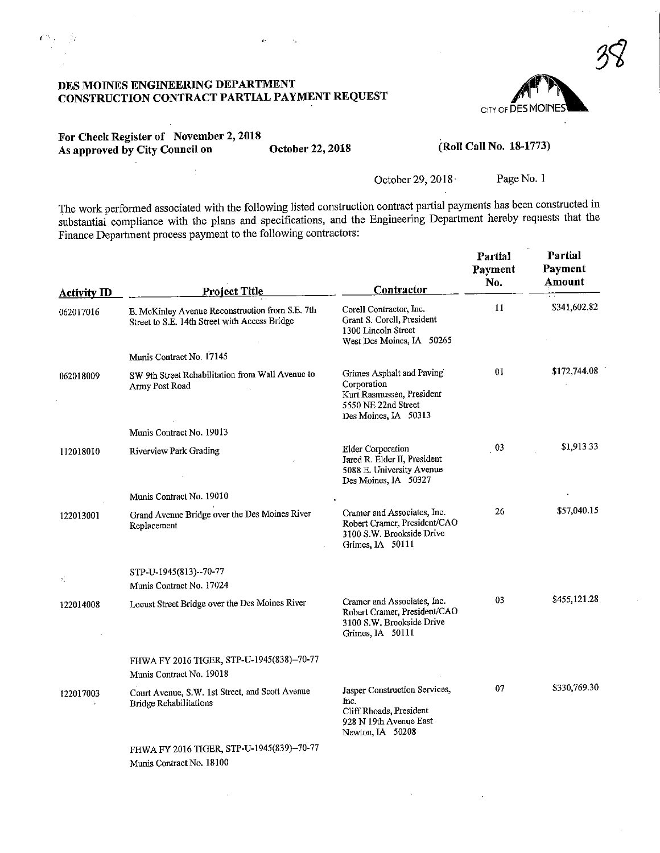## DES MOINES ENGINEERING DEPARTMENT CONSTRUCTION CONTRACT PARTIAL PAYMENT REQUEST

à,

y.

k,



## For Check Register of November 2,2018 As approved by City Council on October 22, 2018

ù

#### (Roll Call No. 18-1773)

#### October 29, 2018 Page No. 1

The work performed associated with the following listed construction contract partial payments has been constructed in substantial compliance with the plans and specifications, and the Engineering Department hereby requests that the Finance Department process payment to the following contractors:

| <b>Activity ID</b> | <b>Project Title</b>                                                                             | Contractor                                                                                                           | Partial<br>Payment<br>No. | Partial<br>Payment<br>Amount |
|--------------------|--------------------------------------------------------------------------------------------------|----------------------------------------------------------------------------------------------------------------------|---------------------------|------------------------------|
| 062017016          | E. McKinley Avenue Reconstruction from S.E. 7th<br>Street to S.E. 14th Street with Access Bridge | Corell Contractor, Inc.<br>Grant S. Corell, President<br>1300 Lincoln Street<br>West Des Moines, IA 50265            | 11                        | \$341,602.82                 |
|                    | Munis Contract No. 17145                                                                         |                                                                                                                      |                           |                              |
| 062018009          | SW 9th Street Rehabilitation from Wall Avenue to<br>Army Post Road                               | Grimes Asphalt and Paving<br>Corporation<br>Kurt Rasmussen, President<br>5550 NE 22nd Street<br>Des Moines, IA 50313 | 01                        | \$172,744.08                 |
|                    | Munis Contract No. 19013                                                                         |                                                                                                                      |                           |                              |
| 112018010          | Riverview Park Grading                                                                           | Elder Corporation<br>Jared R. Elder II, President<br>5088 E. University Avenue<br>Des Moines, IA 50327               | $_{03}$                   | \$1,913.33                   |
|                    | Munis Contract No. 19010                                                                         |                                                                                                                      |                           |                              |
| 122013001          | Grand Avenue Bridge over the Des Moines River<br>Replacement                                     | Cramer and Associates, Inc.<br>Robert Cramer, President/CAO<br>3100 S.W. Brookside Drive<br>Grimes, IA 50111         | 26                        | \$57,040.15                  |
| ×.                 | STP-U-1945(813)--70-77<br>Munis Contract No. 17024                                               |                                                                                                                      |                           |                              |
| 122014008          | Locust Street Bridge over the Des Moines River                                                   | Cramer and Associates, Inc.<br>Robert Cramer, President/CAO<br>3100 S.W. Brookside Drive<br>Grimes, IA 50111         | 03                        | \$455,121.28                 |
|                    | FHWA FY 2016 TIGER, STP-U-1945(838)--70-77<br>Munis Contract No. 19018                           |                                                                                                                      |                           |                              |
| 122017003          | Court Avenue, S.W. 1st Street, and Scott Avenue<br><b>Bridge Rehabilitations</b>                 | Jasper Construction Services,<br>Inc.<br>Cliff Rhoads, President<br>928 N 19th Avenue East<br>Newton, IA 50208       | 07                        | \$330,769.30                 |
|                    | FHWA FY 2016 TIGER, STP-U-1945(839)--70-77<br>Munis Contract No. 18100                           |                                                                                                                      |                           |                              |